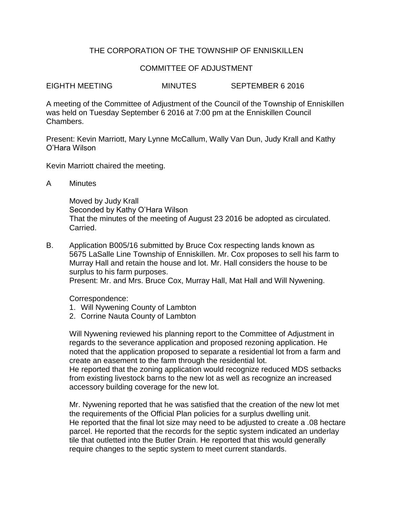## THE CORPORATION OF THE TOWNSHIP OF ENNISKILLEN

## COMMITTEE OF ADJUSTMENT

EIGHTH MEETING MINUTES SEPTEMBER 6 2016

A meeting of the Committee of Adjustment of the Council of the Township of Enniskillen was held on Tuesday September 6 2016 at 7:00 pm at the Enniskillen Council Chambers.

Present: Kevin Marriott, Mary Lynne McCallum, Wally Van Dun, Judy Krall and Kathy O'Hara Wilson

Kevin Marriott chaired the meeting.

A Minutes

Moved by Judy Krall Seconded by Kathy O'Hara Wilson That the minutes of the meeting of August 23 2016 be adopted as circulated. Carried.

B. Application B005/16 submitted by Bruce Cox respecting lands known as 5675 LaSalle Line Township of Enniskillen. Mr. Cox proposes to sell his farm to Murray Hall and retain the house and lot. Mr. Hall considers the house to be surplus to his farm purposes. Present: Mr. and Mrs. Bruce Cox, Murray Hall, Mat Hall and Will Nywening.

Correspondence:

- 1. Will Nywening County of Lambton
- 2. Corrine Nauta County of Lambton

Will Nywening reviewed his planning report to the Committee of Adjustment in regards to the severance application and proposed rezoning application. He noted that the application proposed to separate a residential lot from a farm and create an easement to the farm through the residential lot.

He reported that the zoning application would recognize reduced MDS setbacks from existing livestock barns to the new lot as well as recognize an increased accessory building coverage for the new lot.

Mr. Nywening reported that he was satisfied that the creation of the new lot met the requirements of the Official Plan policies for a surplus dwelling unit. He reported that the final lot size may need to be adjusted to create a .08 hectare parcel. He reported that the records for the septic system indicated an underlay tile that outletted into the Butler Drain. He reported that this would generally require changes to the septic system to meet current standards.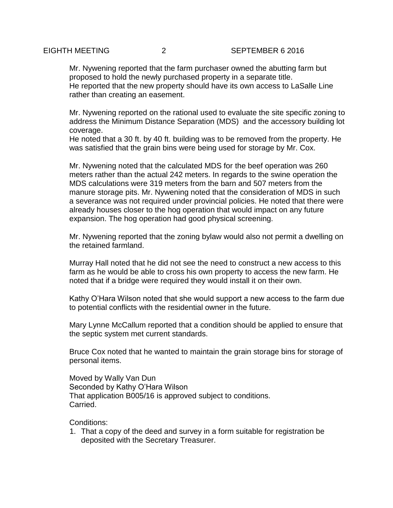Mr. Nywening reported that the farm purchaser owned the abutting farm but proposed to hold the newly purchased property in a separate title. He reported that the new property should have its own access to LaSalle Line rather than creating an easement.

Mr. Nywening reported on the rational used to evaluate the site specific zoning to address the Minimum Distance Separation (MDS) and the accessory building lot coverage.

He noted that a 30 ft. by 40 ft. building was to be removed from the property. He was satisfied that the grain bins were being used for storage by Mr. Cox.

Mr. Nywening noted that the calculated MDS for the beef operation was 260 meters rather than the actual 242 meters. In regards to the swine operation the MDS calculations were 319 meters from the barn and 507 meters from the manure storage pits. Mr. Nywening noted that the consideration of MDS in such a severance was not required under provincial policies. He noted that there were already houses closer to the hog operation that would impact on any future expansion. The hog operation had good physical screening.

Mr. Nywening reported that the zoning bylaw would also not permit a dwelling on the retained farmland.

Murray Hall noted that he did not see the need to construct a new access to this farm as he would be able to cross his own property to access the new farm. He noted that if a bridge were required they would install it on their own.

Kathy O'Hara Wilson noted that she would support a new access to the farm due to potential conflicts with the residential owner in the future.

Mary Lynne McCallum reported that a condition should be applied to ensure that the septic system met current standards.

Bruce Cox noted that he wanted to maintain the grain storage bins for storage of personal items.

Moved by Wally Van Dun Seconded by Kathy O'Hara Wilson That application B005/16 is approved subject to conditions. Carried.

Conditions:

1. That a copy of the deed and survey in a form suitable for registration be deposited with the Secretary Treasurer.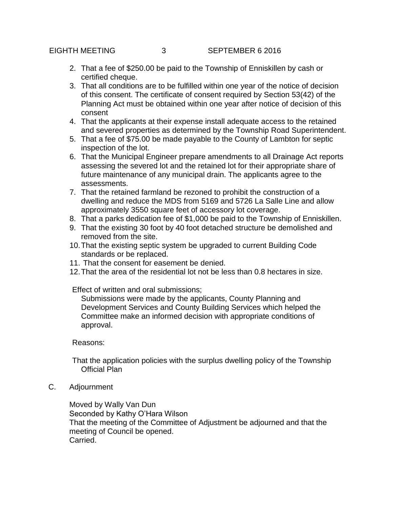- 2. That a fee of \$250.00 be paid to the Township of Enniskillen by cash or certified cheque.
- 3. That all conditions are to be fulfilled within one year of the notice of decision of this consent. The certificate of consent required by Section 53(42) of the Planning Act must be obtained within one year after notice of decision of this consent
- 4. That the applicants at their expense install adequate access to the retained and severed properties as determined by the Township Road Superintendent.
- 5. That a fee of \$75.00 be made payable to the County of Lambton for septic inspection of the lot.
- 6. That the Municipal Engineer prepare amendments to all Drainage Act reports assessing the severed lot and the retained lot for their appropriate share of future maintenance of any municipal drain. The applicants agree to the assessments.
- 7. That the retained farmland be rezoned to prohibit the construction of a dwelling and reduce the MDS from 5169 and 5726 La Salle Line and allow approximately 3550 square feet of accessory lot coverage.
- 8. That a parks dedication fee of \$1,000 be paid to the Township of Enniskillen.
- 9. That the existing 30 foot by 40 foot detached structure be demolished and removed from the site.
- 10.That the existing septic system be upgraded to current Building Code standards or be replaced.
- 11. That the consent for easement be denied.
- 12.That the area of the residential lot not be less than 0.8 hectares in size.

Effect of written and oral submissions;

Submissions were made by the applicants, County Planning and Development Services and County Building Services which helped the Committee make an informed decision with appropriate conditions of approval.

Reasons:

That the application policies with the surplus dwelling policy of the Township Official Plan

C. Adjournment

Moved by Wally Van Dun Seconded by Kathy O'Hara Wilson That the meeting of the Committee of Adjustment be adjourned and that the meeting of Council be opened. Carried.